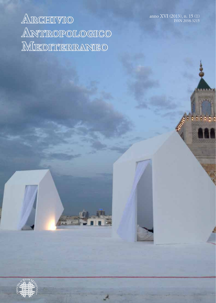anno XVI (2013), n. 15 (1) ISSN 2038-3215

# **Archivio Antropologico Mediterraneo**

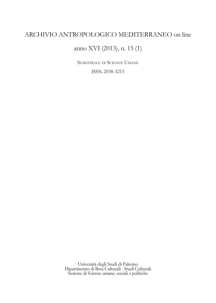# ARCHIVIO ANTROPOLOGICO MEDITERRANEO on line

# anno XVI (2013), n. 15 (1)

Semestrale di Scienze Umane

ISSN 2038-3215

Università degli Studi di Palermo Dipartimento di Beni Culturali - Studi Culturali Sezione di Scienze umane, sociali e politiche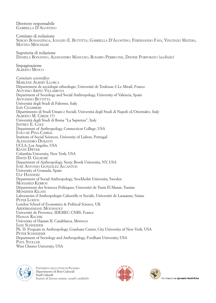Direttore responsabile Gabriella D'Agostino Comitato di redazione Sergio Bonanzinga, Ignazio E. Buttitta, Gabriella D'Agostino, Ferdinando Fava, Vincenzo Matera, MATTEO MESCHIARI Segreteria di redazione Daniela Bonanno, Alessandro Mancuso, Rosario Perricone, Davide Porporato (*website*) Impaginazione Alberto Musco *Comitato scientifico*  Marlène Albert-Llorca Département de sociologie-ethnologie, Université de Toulouse 2-Le Mirail, France Antonio Ariño Villarroya Department of Sociology and Social Anthropology, University of Valencia, Spain ANTONINO BUTTITTA Università degli Studi di Palermo, Italy IAIN CHAMBERS Dipartimento di Studi Umani e Sociali, Università degli Studi di Napoli «L'Orientale», Italy Alberto M. Cirese (†) Università degli Studi di Roma "La Sapienza", Italy Jeffrey E. Cole Department of Anthropology, Connecticut College, USA João de Pina-Cabral Institute of Social Sciences, University of Lisbon, Portugal Alessandro Duranti UCLA, Los Angeles, USA Kevin Dwyer Columbia University, New York, USA David D. Gilmore Department of Anthropology, Stony Brook University, NY, USA José Antonio González Alcantud University of Granada, Spain ULF HANNERZ Department of Social Anthropology, Stockholm University, Sweden Mohamed Kerrou Département des Sciences Politiques, Université de Tunis El Manar, Tunisia Mondher Kilani Laboratoire d'Anthropologie Culturelle et Sociale, Université de Lausanne, Suisse PETER LOIZOS London School of Economics & Political Science, UK Abderrahmane Moussaoui Université de Provence, IDEMEC-CNRS, France Hassan Rachik University of Hassan II, Casablanca, Morocco **JANE SCHNEIDER** Ph. D. Program in Anthropology, Graduate Center, City University of New York, USA PETER SCHNEIDER Department of Sociology and Anthropology, Fordham University, USA PAUL STOLLER West Chester University, USA



Università degli studi di Palermo Dipartimento di Beni Culturali Studi Culturali *Sezione di Scienze umane, sociali e politiche*



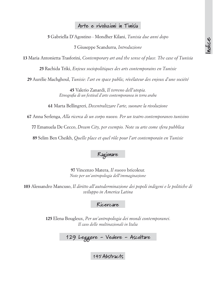### **Arte e rivoluzioni in Tunisia**

Gabriella D'Agostino - Mondher Kilani, *Tunisia due anni dopo*

Giuseppe Scandurra, *Introduzione*

Maria Antonietta Trasforini, *Contemporary art and the sense of place. The case of Tunisia*

Rachida Triki, *Enjeux sociopolitiques des arts contemporains en Tunisie*

Aurélie Machghoul, *Tunisie: l'art en space public, révélateur des enjeux d'une société*

 Valerio Zanardi, *Il terreno dell'utopia. Etnografia di un festival d'arte contemporanea in terra araba*

Marta Bellingreri, *Decentralizzare l'arte, suonare la rivoluzione*

Anna Serlenga, *Alla ricerca di un corpo nuovo. Per un teatro contemporaneo tunisino*

Emanuela De Cecco, *Dream City, per esempio. Note su arte come sfera pubblica*

Selim Ben Cheikh, *Quelle place et quel rôle pour l'art contemporain en Tunisie*

**Ragionare**

 Vincenzo Matera, *Il nuovo* bricoleur. *Note per un'antropologia dell'immaginazione*

 Alessandro Mancuso, *Il diritto all'autoderminazione dei popoli indigeni e le politiche di sviluppo in America Latina*

**Ricercare**

 Elena Bougleux, *Per un'antropologia dei mondi contemporanei*. *Il caso delle multinazionali in Italia*

**129 Leggere - Vedere - Ascoltare**

**Abstracts**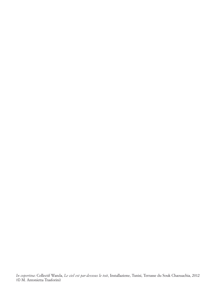*In copertina*: Collectif Wanda, *Le ciel est par-dessous le toit*, Installazione, Tunisi, Terrasse du Souk Chaouachia, 2012 (© M. Antonietta Trasforini)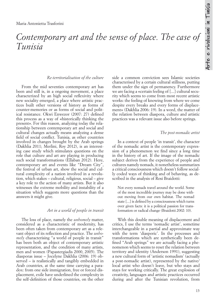# Contemporary art and the sense of place. The case of *Tunisia*

#### *Re-territorialisation of the culture*

From the mid seventies contemporary art has been and still is, in a ongoing movement, a place characterized by an high social reflexivity where new sociality emerged, a place where artistic practices built other versions of history as forms of counter-memories or as forms of social and political resistance. Okwi Enwezor (2007: 27) defined this process as a way of «historically thinking the present». For this reason, analyzing today the relationship between contemporary art and social and cultural changes actually means analyzing a dense field of social conflict. Tunisia, as other countries involved in changes brought by the Arab springs (Dakhlia 2011; Merlini, Roy 2012), is an interesting case study which stimulates questions on the role that culture and art are playing in producing such social transformations (Ellaban 2012). Here, contemporary art and events like "Dream City", the festival of urban art, show the social and cultural complexity of a nation involved in a revolution, which stakes – cultural, religious, social – give a key role to the action of many artists. But it also witnesses the extreme mobility and instability of a situation which suggests more questions than the answers it might give.

#### *Art in a world of people in transit*

The loss of place, namely the *unhomely* matter, considered as a characteristic of modernity, has been often taken from contemporary art as a relevant object of its reflection and practice. The *unhomely* characterising "a world of people in transit" has been both an object of contemporary artistic representation, and the condition of many artists, men and women (Papastergiadis 2000, 2005). The diasporas issue – Jocelyne Dakhlia (2006: 19) observed – is realistically and tangibly embedded in Arab countries, at the same time carrying a paradox: from one side immigration, free or forced displacement, exile have underlined the complexity in the self-definition of those countries, on the other

side a common conviction sees Islamic societies characterised by a certain cultural stillness, putting them under the sign of permanency. Furthermore we are facing a «certain feeling of [...] cultural security which seems to come from most recent artistic works: the feeling of knowing from where we come despite every breaks and every forms of displacement» (Dakhlia 2006: 19). In a word, the matter of the relation between diaspora, culture and artistic practices was a relevant issue also before springs.

#### *The post-nomadic artist*

In a context of people 'in transit', the character of the nomadic artist is the contemporary expression of a phenomenon we find since a long time in the history of art. If the image of the nomadic subject derives from the experience of people and cultures namely nomads, it nonetheless summarizes a critical consciousness which doesn't follow socially coded ways of thinking and of behaving, as described in the analysis of Rosi Braidotti:

Not every nomads travel around the world. Some of the most incredible journey may be done without moving from our own habitat. The nomad state [...] is defined by a consciousness which turns over given facts: it is a political passion for transformation or radical change (Braidotti 2002: 10).

With this double meaning of displacement and critics, I use the terms 'nomadic artist', sometime interchangeable in a partial and approximate way with the term 'diasporic'. In the processes and transformations which are synthetically been defined "Arab springs" we are actually facing a phenomenon which seems to reset the relation between territory and identity (Anderson 1991), suggesting a new cultural form of 'artistic nomadism' (actually a post-nomadic artist), represented by the native/ local artist who doesn't leave, but who stays and stays for working critically. The great explosion of creativity, languages and artistic practices occurred during and after the Tunisian revolution, from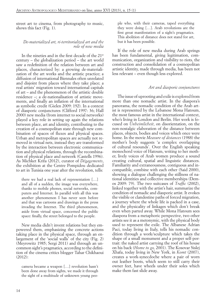street art to cinema, from photography to music, shows this fact (Fig. 1).

#### *De-materialized art, ri-territorialized art and the role of new media*

In the nineties and in the first decade of the 21<sup>st</sup> century – the globalization period – the art world saw a redefinition of the relation between art and places, characterized by: a growing de-materialization of the art works and the artistic practice; a diffusion of international Biennales often unrelated and disjoint from places where they take place; a real artists' migration toward international capitals of art – and the phenomenon of the artistic double residence –; a de-nationalisation of artistic movements, and finally an inflation of the international as symbolic credit (Gielen 2009: 192). In a context of diasporic conjunctures (Clifford 1997: 36; Hall 2000) new media (from internet to social networks) played a key role in setting up again the relations between place, art and identity, contributing to the creation of a cosmopolitan state through new combination of spaces of fluxes and physical spaces. Urban and metropolitan spaces are actually not removed in virtual nets, instead they are transformed by the interaction between electronic communication and physical relations, through the recombination of physical place and network (Castells 1996). As Michket Krifa (2012), curator of *Dégagements*, the exhibition at the Centre Pompidou dedicated to art in Tunisia one year after the revolution, tells:

there we had a real lack of representation […] and all of a sudden, the image was everywhere, thanks to mobile phones, social networks, computers and Internet. In parallel with all this was another phenomenon I has never seen before and that was cartoons and drawings in the press invading the Internet. The third phenomenon, aside from virtual space, concerned the public space: finally, the street belonged to the people.

New media didn't invent relations but they empowered them, emphasizing the concrete actions taking place in the physical space, through an enlargement of the 'social walls' of the city (Fig. 2) (Meyrowitz 1985; Sergi 2011) and through an uncommon sight's pragmatics, according to the definition of the cinema critics blogger Tahar Chikhaoui (2012):

camera became a weapon […] revolution hasn't been done away from sights, we made it through the sight of a multitude of unknown young people who, with their cameras, taped everything they were doing […]. Arab revolutions are the first great manifestation of a sight's pragmatics. This abolition of distance does not stand for art, but it has been possible.

If the role of new media during Arab springs has been fundamental, giving legitimation, communication, organization and visibility to riots, the construction and consolidation of a cosmopolitan artistic identity, made through media, has been not less relevant – even though less explored.

#### *Art and diasporic conjunctures*

The issue of uprooting and exile is explored from more than one nomadic artist. In the diaspora's panorama, the nomadic condition of the Arab artist is represented by the Lebanese Mona Hatoum, the most famous artist in the international context, who's living in London and Berlin. Her work is focused on *Unheimlicheit*, on disorientation, on the non-nostalgic elaboration of the distance between places, objects, bodies and voices which once were home. In the movie *Measure of distances* (1988) the mother's body suggests 'a complex overlapping of cultural resounds'. Over the English speaking monochord voice of Hatoum, writing to her mother, lively voices of Arab women produce a sound creating cultural, spatial and linguistic distances. Familiarity and extraneousness, contiguous and incompatible, combine with each other (Said 2000), showing a dialogue challenging the stillness of national identities and collective memberships (Demos 2009: 79). The two suitcases of *Traffic* (2002), linked together with the artist's hair, summarize the condition of nomadic and diasporic artist. It evokes the visible or clandestine paths of forced migration, a journey where the whole life is packed in a case, and the physicality of linkages which don't break even when parted away. While Mona Hatoum sees diaspora from a metaphoric perspective, two other artists see it as a metonymic, with the physical body used to represent the exile. The Albanese Adrian Paci, today living in Italy, tells his nomadic condition through a work/sculpture which takes the shape of a small monument and a proper self-portrait: the naked artist carrying the roof of his house on his back (*Home to go,* 2001). The Kosovar Sislej Xhafa, today living in New York, in *Komt* (2007), creates a work-synecdoche where a pair of worn out leather boots, which seem to still carry their owner feet, have wheels under their soles which make them fast slide away.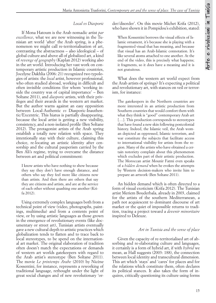#### *Local vs Diasporic*

If Mona Hatoum is the Arab nomadic artist *par excellence*, what we are now witnessing in the Tunisian art world 'after' the Arab spring, is a phenomenon we might call re-territorialisation of art, contrasting the abstractness – also ideological – of global culture and above all of globalized art, a kind of *revenge of geography* (Kaplan 2012) working also in the art world. Introducing her vast work on contemporary artistic production in Islamic countries, Jocelyne Dakhlia (2006: 21) recognized two typologies of artists: the *local* artist, however professional, who often studied abroad, working in difficult and often invisible conditions (for whom 'working inside the country was of capital importance' – Ben Soltane 2011), and *diasporic* artists, with their privileges and their awards in the western art market. But the author warns against an easy opposition between Local-Authentic *vs* Diasporic-Inauthentic/Excentric. This hiatus is partially disappearing, because the local artist is getting a new visibility, consistency, and a non-isolated profile (Ben Soltane 2012). The protagonist artists of the Arab spring establish a totally new relation with space. They intentionally stay with their culture, claiming this choice, re-locating an artistic identity after censorship and the cultural pauperism carried by the Ben Ali's regime, trying to overcame the distance between art and political commitment:

I know artists who have nothing to show because they say they don't have enough distance, and others who say they feel more like citizens now than artists. And then there are others that say they are citizens and artists, and are at the service of each other without quashing one another (Krifa 2012).

Using extremely complex languages both from a technical point of view (video, photographs, paintings, multimedia) and from a contents point of view, or by using artistic languages as those grown in the emergence of revolutionary events (like documentary or street art), Tunisian artists eventually gave a new cultural depth to artistic practices which globalization tends to flatten and to trace back to local stereotypes, to be spend on the international art market. The original elaboration of tradition often doesn't match the expectations or demands of western art worlds gatekeepers with regard to the Arab artist's stereotype (Ben Soltane 2011). The movie *Le printemps Arabe* (2010) by Nicène Kossentini, for instance, represents a reworking of traditional language, rethought under the light of great social changes and of new revolutionary 'order/disorder'. On this movie Michet Krifa (2012), who have shown it in Pompidou's exhibition, stated:

When Kossentini borrows the visual effects of Islamic ornament, it's because she is playing with a fragmented visual that has meaning, and because that visual has an Arab-Islamic connotation. It's like several atoms attached to one another. At the end of the video, this is precisely what happens; it fragments, so it does have a meaning and it is not gratuitous.

What does the western art world expect from the Arab artists of springs? It's expecting a political and revolutionary art, with stances on veil or terrorism, for instance:

The gatekeepers in the Northern countries are more interested in an artistic production from Southern countries that would comfort them with what they think is "good" contemporary Arab art [...]. This production corresponds to stereotypes that have found a new skin following postcolonial history. Indeed, the Islamic veil, the Arab woman depicted as oppressed, Islamic terrorism, and war constitute the subjects that facilitate access to international visibility for artists from the region. Many of the artists who have obtained a certain notoriety complain about this phenomenon which excludes part of their artistic production. The Moroccan artist Mounir Fatmi even speaks of a *hidden demand* when he evokes the attempts by Western decision-makers who invite him to prepare an artwork (Ben Soltane 2011).

An hidden demand which is often directed to a form of visual exoticism (Krifa 2012). The Tunisian artist Meriem Bouderbala, already in 2003, claimed for the artists of the southern Mediterranean, a path not acquiescent to dominant discourse of art market or the quiet of impossible returns to tradition, tracing a project toward a *devenir minoritaire* inspired to Deleuze.

#### *Art in Tunisia and the sense of place*

Given the capacity of re-territorialised art of absorbing and re-elaborating culture and languages, it certainly is a form of hybrid art, if with *hybrid* we mean, as Hall suggests (2003: 188), the connection between local identity and transcultural dimension. This art which 'stays' and 'cares' for places and for the relations which constitute them, often declares its political stances. It also takes the form of inquires, critically questioning its culture using forms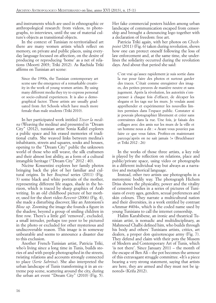and instruments which are used in ethnographic or anthropological research: from videos, to photographs, to interviews, until the use of material culture's objects as transitional objects.

In the context of Tunisian re-territorialised art there are many women artists which reflect on memory, on private and public places, using everyday language focused on affection, on the desire of producing or reproducing 'home' as a net of relations (Moorti 2003; Triki 2012). As Rachida Triki affirms on Tunisian art scene:

Since the 1990s, the Tunisian contemporary art scene saw the emergence of a remarkable creativity in the work of young women artists. By using many different media they try to express personal or socio-cultural experiences. It is also a demographical factor. These artists are usually graduated from Art Schools which have much more female than male students (Triki 2010).

In her participated work intitled *Tisser la medina* (Weaving the medina) and presented in "Dream City" (2012), tunisian artist Sonia Kallel explores a public space and his erased memories of traditional crafts. She weaved links between medina's inhabitants, streets and squares, souks and houses, opening to the "Dream City" public the unknown world of those who still weave, the silk craftsmen and their almost lost ability, as a form of a cultural intangible heritage ("Dream City" 2012 : 40).

Nicène Kossentini explores her family photos bringing back the plot of her familiar and cultural origins. In her *Boujmal* series (2011) (Fig. 3) some black and white portraits of the mother, representing different life stages, shade in the horizon, which is traced by sharp graphics of Arab writing. In an old childhood picture of her mother, used for the short video *Revenir* (2006) (Fig. 4), she made a disturbing discover, like an Antonioni's *Blow up.* Zooming the image she founds a figure in the shadow, beyond a group of smiling children in first row. There's a little girl 'removed', excluded, a small intruder, perhaps too poor to be pictured in the photo or excluded for other mysterious and undiscoverable reason. This image is in someway unbearable and seems to announce a disaster due to this exclusion.

Another French-Tunisian artist, Patricia Triki, who's living since a long time in Tunis, builds stories of and with people photographed in the streets, twisting relations and accounts strongly connected to place (*Serie Sabrina*). She also interpreted the urban landscape of Tunis transforming it in an extreme pop scene, scattering around the city, during the urban art event "Dream City" (2010) (Fig. 5).

Her fake commercial posters hidden among urban landscape of communication escaped from censorship and brought a denouncing logo together with a declaration of freedom: free art.

Patricia Triki again, with her photos on *Checkpoint* (2011) (Fig. 6) taken during revolution, shows how one can protect oneself following the loss of law enforcement and, at the same time, she underlines the solidarity occurred during the revolution days. And about that period she said:

C'est vrai qu'assez rapidement je suis sortie dans la rue pour faire des photos et surtout garder des traces. C'était comme enregistrer des images, des petites preuves de manière neutre et sans jugement. Après la révolution, les autorités s'empresser à chaque fois d'effacer, de décaper les slogans et les tags sur les murs. Je voulais aussi appréhender et expérimenter les nouvelles limites permises dans l'espace public. Constater si je pouvais photographier librement et créer sans contraintes dans la rue. Une fois, je faisais des collages avec des amis sur les murs de la ville et un homme nous a dit : « Avant vous pouviez pas faire ce que vous faites. Profitez-en maintenant parcequ'après on ne sait jamais !» (Bruckbauer et Triki 2012 : 26)

In the works of those three artists, a key role is played by the reflection on relations, place and public/private space, using video or photographs in a different individual way but always as a narrative and metaphorical language.

Instead, other two artists use photographs in a metonymic bodily way. The photograph Hichem Driss shows the physicality, power and the vitality of censored bodies in a series of pictures of Tunisians of every ages, genders, sexual preferences and skin colours. They narrate a multicultural nation and their diversities, in a work entitled by contrast «Ammar #404», which is the coded name used by young Tunisians to call the internet censorship.

Halim Karabibene, an ironic and theatrical Tunisian artist, is nomadic and multidisciplinary, as Mahmoud Chalbi defined him, who builds through his body and others' Tunisians artists, critics, art dealers, a proper don quixotescque army (Fig. 7). They defend and claim with their pots the Musem of Modern and Contemporary Art of Tunis, which 'is not there'. Since January 2011 – the month of the escape of Ben Ali – the pot becomes the armour of this extravagant struggle committee. «It's a piece bearing a very strong statement, saying that artists are here, they are armed and they must not be ignored» (Krifa 2012).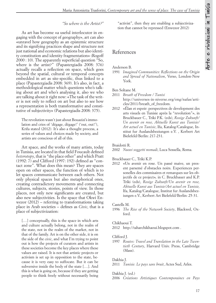#### *"So where is the Artist?"*

As art has become «a useful interlocutor in engaging with the concept of geography», art can also «unravel how geography as an epistemic structure and its signifying practices shape and structure not just national and economic relations but also identity constitution and identity fragmentation» (Rogoff 2000 : 10). The apparently superficial question "So, where is the artist?" (Papastergiadis 2008: 376) actually recalls a reflection on space, which goes beyond the spatial, cultural or temporal concepts embedded in art as site-specific, thus linked to a place (Papastergiadis 2008: 369). It's also, in fact, a methodological matter which questions who's talking about art and who's analysing it, also we who are talking about it right now: «The task of the writer is not only to reflect on art but also to see how a representation is both transformative and constitutive of subjectivity» (Papastergiadis 2008: 375).

The revolution wasn't just about Bouazizi's immolation and cries of 'dégage, dégage!' ('out, out!'), Krifa stated (2012)*.* It's also a thought process, a series of values and choices made by society, and artists are conscious of all of this.

Art space, and the works of many artists, today in Tunisia, are located in that field Foucault defined *heterotopy*, that is "the place other" and which Pratt (1992: 7) and Clifford (1997: 192) defined as "contact zone". What does this mean? They are spaces open on other spaces, the function of which is to let spaces communicate between each others. Not only physical spaces but also metaphorical ones, creating contradictory movements and connecting cultures, subjects, stories, points of view. In those places, not only new significants are created, but also new subjectivities. Is the space that Okwi Enwezor (2012) – referring to transformations taking place in Arab societies – defines as *Civic*, that is a place of subjectivization:

[...] conceptually, this is the space in which arts and culture actually belong, not in the realm of the state, not in the realm of the market, not in that of the family. Art is on the other side, it is on the side of the *civic*, and what I'm trying to point out is how the projects of curators and artists in these societies become the key places where these values are raised. It is not that artistic projects or activism is set up in opposition to the state, because it is very easy to suffocate. But it can be subversive inside the body of the state […]. And this is what is going on, because if they are getting people to think freely without necessarily being

"activist", then they are enabling a subjectivization that cannot be repressed (Enwezor 2012)

#### References

#### Anderson B.

1991 *Imagined Communities*: *Reflections on the Origin and Spread of Nationalism*, Verso, London-New York.

Ben Soltane M.

- 2011 *Breath of Freedom / Tunisi* http://universes-in-niverse.org/eng/nafas/articles/2011/breath\_of\_freedom.
- 2012 «Élan et espoir: perspectives de development des arts visuels en Tunisie après la "revolution"», in Bruckbauer C., Triki P.K. (eds), *Rosige Zukunft/ Un avenir en rose, Aktuelle Kunst aus Tunisie/ Art actuel en Tunisie*, Ifa, Katalog/Catalogue, Institut fur Auslandsbeziungen e.V. , Kerbert Art Bielefeld/Berlin: 217-231.

#### Braidotti R.

2002 *Nuovi soggetti nomadi*, Luca Sossella, Roma.

Bruckbauer C., Triki K.P.

2012 «Un avenir en rose. Un passé maive, un present parsemé d'obstacles noirs. Experiences personelles des commisaires et remarques sur les objectifs de ce project»*,* in C. Bruckbauer and K.P. Triki (eds), *Rosige Zukunft/Un avenir en rose, Aktuelle Kunst aus Tunisie/Art actuel en Tunisie,* Ifa, Katalog/Catalogue, Institut fur Auslandsbeziungen e.V., Kerbert Art Bielefeld/Berlin: 25-31.

#### Castells M.

1996 *The Rise of the Network Society*, Blackwel, Oxford.

#### Chikhaoui T.

2012 http://taharchikhaoui.blogspot.com .

#### Clifford J.

1997 *Routes: Travel and Translation in the Late Twentieth Century*, Harvard Univ. Press, Cambridge (Mass).

#### Dakhia J.

2011 *Tunisie. Le pays sans bruit*, Actes Sud, Arles.

Dakhia J. (ed.)

2006 *Créations Artistiques Contemporaines en Pays*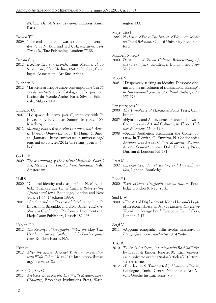*d'Islam. Des Arts en Tensions,* Editions Kimé, Paris.

#### Demos T.J.

2009 "The ends of exiles: towards a coming universality? ", in N. Bourriad (ed.), *Altermodern. Tate Triennial*, Tate Publishing, London: 75-88.

#### Dream City

2012 *L'artiste face aux libertés,* Tunis Medina, 26-30 Septembre, Sfax Medina, 05-07 Octobre, Catalogue, Association l'Art Rue, Ariana.

#### Ellabban E.

2012 "La scène artistique arabe contemporaine", in *25 ans de créativité arabe,* Catalogue de l'exposition, Institut du Monde Arabe, Paris, Silvana, Editoriale, Milano: 14-19.

#### Enwezor O.

- 2007 "Lo spazio dei senza patria", interview with O. Enwezor by F. Gennari Santori, in *Reset*, 100, March-April: 27-28.
- 2012 *Meeting Points 6 in Berlin Interview with Artistic Director Okwui Enwezor,* By Haupt & Binder, January: http://universes-in-universe.org/ eng/nafas/articles/2012/meeting\_points\_6\_ berlin.

#### Gielen P.

2009 *The Murmuring of the Artistic Multitude. Global Art, Memory and Post-Fordism*, Antennae, Valiz Amsterdam.

#### Hall S.

- 2000 "Cultural identity and diaspora", in N. Mirzoeff (ed.), *Diaspora and Visual Culture. Representing Africans and Jews*, Routledge, London and New York: 21-33 (1<sup>st</sup> edition 1990).
- 2003 "Creolite and the Process of Creolisation", in O. Enwezor, I. Basualdo, and U.M. Bauer (eds.) *Creolite and Creolisation*: Platform 3: Documenta 11, Hatje Cantz Publishers, Kassel: 185-198.

#### Kaplan D.R.

2012 *The Revenge of Geography: What the Map Tells Us About Coming Conflicts and the Battle Against Fate*, Random House, N.Y.

#### Krifa M.

2012 *After the Storm: Michket Krifa in conversation with Wafa Gabsi*, 2 May 2012: http://www.ibraaz. org/interviews/26 .

#### Merlini C., Roy O.

2011 *Arab Society in Revolt. The West's Mediterranean Challenge*, Brookings Institutions Press, Washington, D.C.

#### Meyrowitz J.

1985 *No Sense of Place. The Impact of Electronic Media on Social Behavior,* Oxford University Press, Oxford.

#### Mirzoeff N. (ed.)

2000 *Diaspora and Visual Culture. Representing Africans and Jews*, Routledge, London and New York.

#### Moorti S.

2003 "Desperately seeking an identity. Diasporic cinema and the articulation of transnational kinship", in *International journal of cultural studies*, 6(3): 355-376.

#### Papastergiadis N.

- 2000 *The Turbolence of Migration*, Polity Press, Cambridge.
- 2005 «Hybridity and Ambivalence. Places and flows in Contemporary Art and Culture», in *Theory, Culture & Society*, 22(4): 39-64.
- 2008 «Spatial Aesthetics: Rethinking the Contemporary»*,* in T. Smith, O. Enwezor, N. Condee (eds), *Antinomies of Art and Culture. Modernity, Postmodernity, Contemporaneity,* Duke University Press, Durham & London: 363-381.

#### Pratt M.L.

1992 *Imperial Eyes: Travel Writing and Transculturation*, London, Routledge.

#### Rogoff I.

2000 *Terra Infirma. Geography's visual culture*, Routledge, London & New York.

#### Said E.W.

2000 «The Art of Displacement: Mona Hatoum's Logic of Irreconcilables», in *Mona Hatoum: The Entire World as a Foreign Land*, Catalogue, Tate Gallery, London: 7-17.

#### Sergi V.

2011 «Appunti etnografici dalla rivolta tunisina», in *Etnografia e ricerca qualitativa*, 3: 425-443.

#### Triki R.

- 2010 *Tunisia's Art Scene, Interview with Rachida Triki*, by Haupt & Binder, June 2010: http://universes-in-universe.org/eng/nafas/articles/2010/tunisia\_art\_scene.
- 2012 «Etre là», in S. Tamzini (ed.), *Hadhirate-Etre là*, Catalogue, Tunis, Centre Nationale d'Art Vivant-Goethe Institut, Tunis: 7-9.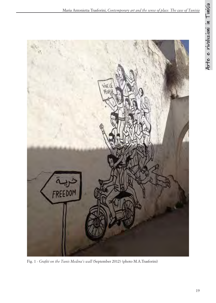

Fig. 1 - *Grafiti on the Tunis Medina's wall* (September 2012) (photo M.A.Trasforini)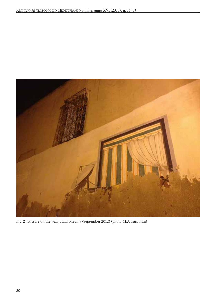

Fig. 2 - Picture on the wall, Tunis Medina (September 2012) (photo M.A.Trasforini)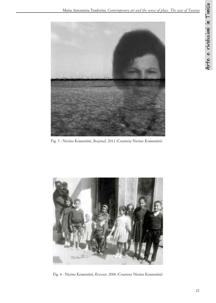

Fig. 3 **-** Nicène Kossentini, *Boujmal,* 2011 (Courtesy Nicène Kossentini)



Fig. 4 - Nicène Kossentini, *Revenir*, 2006 (Courtesy Nicène Kossentini)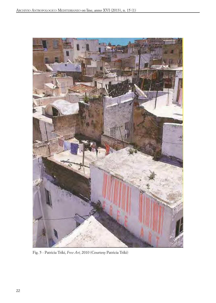

Fig. 5 - Patricia Triki, *Free Art,* 2010 (Courtesy Patricia Triki)